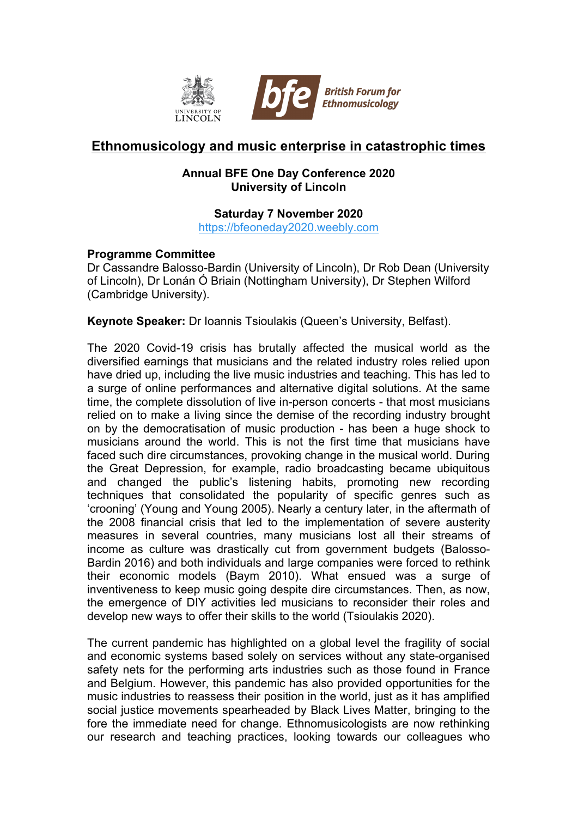

## **Ethnomusicology and music enterprise in catastrophic times**

## **Annual BFE One Day Conference 2020 University of Lincoln**

## **Saturday 7 November 2020**

https://bfeoneday2020.weebly.com

## **Programme Committee**

Dr Cassandre Balosso-Bardin (University of Lincoln), Dr Rob Dean (University of Lincoln), Dr Lonán Ó Briain (Nottingham University), Dr Stephen Wilford (Cambridge University).

**Keynote Speaker:** Dr Ioannis Tsioulakis (Queen's University, Belfast).

The 2020 Covid-19 crisis has brutally affected the musical world as the diversified earnings that musicians and the related industry roles relied upon have dried up, including the live music industries and teaching. This has led to a surge of online performances and alternative digital solutions. At the same time, the complete dissolution of live in-person concerts - that most musicians relied on to make a living since the demise of the recording industry brought on by the democratisation of music production - has been a huge shock to musicians around the world. This is not the first time that musicians have faced such dire circumstances, provoking change in the musical world. During the Great Depression, for example, radio broadcasting became ubiquitous and changed the public's listening habits, promoting new recording techniques that consolidated the popularity of specific genres such as 'crooning' (Young and Young 2005). Nearly a century later, in the aftermath of the 2008 financial crisis that led to the implementation of severe austerity measures in several countries, many musicians lost all their streams of income as culture was drastically cut from government budgets (Balosso-Bardin 2016) and both individuals and large companies were forced to rethink their economic models (Baym 2010). What ensued was a surge of inventiveness to keep music going despite dire circumstances. Then, as now, the emergence of DIY activities led musicians to reconsider their roles and develop new ways to offer their skills to the world (Tsioulakis 2020).

The current pandemic has highlighted on a global level the fragility of social and economic systems based solely on services without any state-organised safety nets for the performing arts industries such as those found in France and Belgium. However, this pandemic has also provided opportunities for the music industries to reassess their position in the world, just as it has amplified social justice movements spearheaded by Black Lives Matter, bringing to the fore the immediate need for change. Ethnomusicologists are now rethinking our research and teaching practices, looking towards our colleagues who